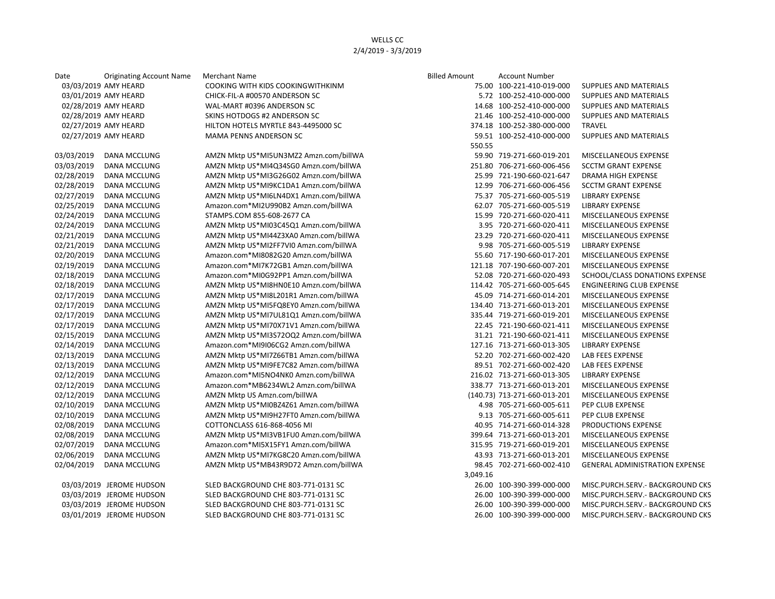| Date       | <b>Originating Account Name</b> | Merchant Name                          | <b>Billed Amount</b> | <b>Account Number</b>        |                                       |
|------------|---------------------------------|----------------------------------------|----------------------|------------------------------|---------------------------------------|
|            | 03/03/2019 AMY HEARD            | COOKING WITH KIDS COOKINGWITHKINM      |                      | 75.00 100-221-410-019-000    | SUPPLIES AND MATERIALS                |
|            | 03/01/2019 AMY HEARD            | CHICK-FIL-A #00570 ANDERSON SC         |                      | 5.72 100-252-410-000-000     | SUPPLIES AND MATERIALS                |
|            | 02/28/2019 AMY HEARD            | WAL-MART #0396 ANDERSON SC             |                      | 14.68 100-252-410-000-000    | SUPPLIES AND MATERIALS                |
|            | 02/28/2019 AMY HEARD            | SKINS HOTDOGS #2 ANDERSON SC           |                      | 21.46 100-252-410-000-000    | SUPPLIES AND MATERIALS                |
|            | 02/27/2019 AMY HEARD            | HILTON HOTELS MYRTLE 843-4495000 SC    |                      | 374.18 100-252-380-000-000   | <b>TRAVEL</b>                         |
|            | 02/27/2019 AMY HEARD            | <b>MAMA PENNS ANDERSON SC</b>          |                      | 59.51 100-252-410-000-000    | <b>SUPPLIES AND MATERIALS</b>         |
|            |                                 |                                        | 550.55               |                              |                                       |
| 03/03/2019 | <b>DANA MCCLUNG</b>             | AMZN Mktp US*MI5UN3MZ2 Amzn.com/billWA |                      | 59.90 719-271-660-019-201    | MISCELLANEOUS EXPENSE                 |
| 03/03/2019 | DANA MCCLUNG                    | AMZN Mktp US*MI4Q34SG0 Amzn.com/billWA |                      | 251.80 706-271-660-006-456   | <b>SCCTM GRANT EXPENSE</b>            |
| 02/28/2019 | DANA MCCLUNG                    | AMZN Mktp US*MI3G26G02 Amzn.com/billWA |                      | 25.99 721-190-660-021-647    | DRAMA HIGH EXPENSE                    |
| 02/28/2019 | DANA MCCLUNG                    | AMZN Mktp US*MI9KC1DA1 Amzn.com/billWA |                      | 12.99 706-271-660-006-456    | <b>SCCTM GRANT EXPENSE</b>            |
| 02/27/2019 | <b>DANA MCCLUNG</b>             | AMZN Mktp US*MI6LN4DX1 Amzn.com/billWA |                      | 75.37 705-271-660-005-519    | <b>LIBRARY EXPENSE</b>                |
| 02/25/2019 | DANA MCCLUNG                    | Amazon.com*MI2U990B2 Amzn.com/billWA   |                      | 62.07 705-271-660-005-519    | <b>LIBRARY EXPENSE</b>                |
| 02/24/2019 | DANA MCCLUNG                    | STAMPS.COM 855-608-2677 CA             |                      | 15.99 720-271-660-020-411    | MISCELLANEOUS EXPENSE                 |
| 02/24/2019 | DANA MCCLUNG                    | AMZN Mktp US*MI03C45Q1 Amzn.com/billWA |                      | 3.95 720-271-660-020-411     | MISCELLANEOUS EXPENSE                 |
| 02/21/2019 | DANA MCCLUNG                    | AMZN Mktp US*MI44Z3XA0 Amzn.com/billWA |                      | 23.29 720-271-660-020-411    | MISCELLANEOUS EXPENSE                 |
| 02/21/2019 | DANA MCCLUNG                    | AMZN Mktp US*MI2FF7VI0 Amzn.com/billWA |                      | 9.98 705-271-660-005-519     | <b>LIBRARY EXPENSE</b>                |
| 02/20/2019 | DANA MCCLUNG                    | Amazon.com*MI8082G20 Amzn.com/billWA   |                      | 55.60 717-190-660-017-201    | MISCELLANEOUS EXPENSE                 |
| 02/19/2019 | DANA MCCLUNG                    | Amazon.com*MI7K72GB1 Amzn.com/billWA   |                      | 121.18 707-190-660-007-201   | MISCELLANEOUS EXPENSE                 |
| 02/18/2019 | DANA MCCLUNG                    | Amazon.com*MI0G92PP1 Amzn.com/billWA   |                      | 52.08 720-271-660-020-493    | SCHOOL/CLASS DONATIONS EXPENSE        |
| 02/18/2019 | DANA MCCLUNG                    | AMZN Mktp US*MI8HN0E10 Amzn.com/billWA |                      | 114.42 705-271-660-005-645   | <b>ENGINEERING CLUB EXPENSE</b>       |
| 02/17/2019 | DANA MCCLUNG                    | AMZN Mktp US*MI8L201R1 Amzn.com/billWA |                      | 45.09 714-271-660-014-201    | MISCELLANEOUS EXPENSE                 |
| 02/17/2019 | DANA MCCLUNG                    | AMZN Mktp US*MI5FQ8EY0 Amzn.com/billWA |                      | 134.40 713-271-660-013-201   | MISCELLANEOUS EXPENSE                 |
| 02/17/2019 | DANA MCCLUNG                    | AMZN Mktp US*MI7UL81Q1 Amzn.com/billWA |                      | 335.44 719-271-660-019-201   | MISCELLANEOUS EXPENSE                 |
| 02/17/2019 | DANA MCCLUNG                    | AMZN Mktp US*MI70X71V1 Amzn.com/billWA |                      | 22.45 721-190-660-021-411    | MISCELLANEOUS EXPENSE                 |
| 02/15/2019 | DANA MCCLUNG                    | AMZN Mktp US*MI3S72OQ2 Amzn.com/billWA |                      | 31.21 721-190-660-021-411    | MISCELLANEOUS EXPENSE                 |
| 02/14/2019 | DANA MCCLUNG                    | Amazon.com*MI9I06CG2 Amzn.com/billWA   |                      | 127.16 713-271-660-013-305   | <b>LIBRARY EXPENSE</b>                |
| 02/13/2019 | DANA MCCLUNG                    | AMZN Mktp US*MI7Z66TB1 Amzn.com/billWA |                      | 52.20 702-271-660-002-420    | LAB FEES EXPENSE                      |
| 02/13/2019 | DANA MCCLUNG                    | AMZN Mktp US*MI9FE7C82 Amzn.com/billWA |                      | 89.51 702-271-660-002-420    | LAB FEES EXPENSE                      |
| 02/12/2019 | <b>DANA MCCLUNG</b>             | Amazon.com*MI5NO4NK0 Amzn.com/billWA   |                      | 216.02 713-271-660-013-305   | <b>LIBRARY EXPENSE</b>                |
| 02/12/2019 | DANA MCCLUNG                    | Amazon.com*MB6234WL2 Amzn.com/billWA   |                      | 338.77 713-271-660-013-201   | MISCELLANEOUS EXPENSE                 |
| 02/12/2019 | DANA MCCLUNG                    | AMZN Mktp US Amzn.com/billWA           |                      | (140.73) 713-271-660-013-201 | MISCELLANEOUS EXPENSE                 |
| 02/10/2019 | DANA MCCLUNG                    | AMZN Mktp US*MI0BZ4Z61 Amzn.com/billWA |                      | 4.98 705-271-660-005-611     | PEP CLUB EXPENSE                      |
| 02/10/2019 | DANA MCCLUNG                    | AMZN Mktp US*MI9H27FT0 Amzn.com/billWA |                      | 9.13 705-271-660-005-611     | PEP CLUB EXPENSE                      |
| 02/08/2019 | <b>DANA MCCLUNG</b>             | COTTONCLASS 616-868-4056 MI            |                      | 40.95 714-271-660-014-328    | PRODUCTIONS EXPENSE                   |
| 02/08/2019 | DANA MCCLUNG                    | AMZN Mktp US*MI3VB1FU0 Amzn.com/billWA |                      | 399.64 713-271-660-013-201   | MISCELLANEOUS EXPENSE                 |
| 02/07/2019 | DANA MCCLUNG                    | Amazon.com*MI5X15FY1 Amzn.com/billWA   |                      | 315.95 719-271-660-019-201   | MISCELLANEOUS EXPENSE                 |
| 02/06/2019 | DANA MCCLUNG                    | AMZN Mktp US*MI7KG8C20 Amzn.com/billWA |                      | 43.93 713-271-660-013-201    | MISCELLANEOUS EXPENSE                 |
| 02/04/2019 | <b>DANA MCCLUNG</b>             | AMZN Mktp US*MB43R9D72 Amzn.com/billWA |                      | 98.45 702-271-660-002-410    | <b>GENERAL ADMINISTRATION EXPENSE</b> |
|            |                                 |                                        | 3,049.16             |                              |                                       |
|            | 03/03/2019 JEROME HUDSON        | SLED BACKGROUND CHE 803-771-0131 SC    |                      | 26.00 100-390-399-000-000    | MISC.PURCH.SERV. - BACKGROUND CKS     |
|            | 03/03/2019 JEROME HUDSON        | SLED BACKGROUND CHE 803-771-0131 SC    |                      | 26.00 100-390-399-000-000    | MISC.PURCH.SERV.- BACKGROUND CKS      |
|            | 03/03/2019 JEROME HUDSON        | SLED BACKGROUND CHE 803-771-0131 SC    |                      | 26.00 100-390-399-000-000    | MISC.PURCH.SERV. - BACKGROUND CKS     |
|            | 03/01/2019 JEROME HUDSON        | SLED BACKGROUND CHE 803-771-0131 SC    |                      | 26.00 100-390-399-000-000    | MISC.PURCH.SERV.- BACKGROUND CKS      |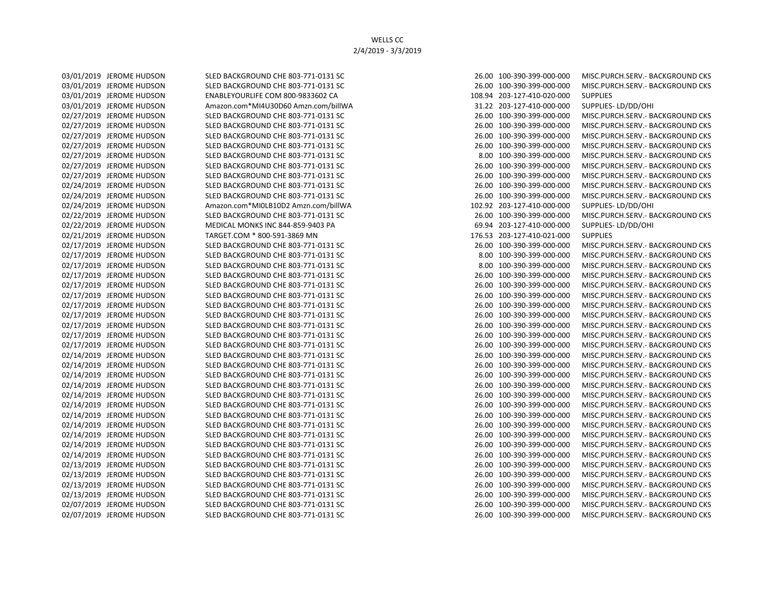03/01/2019 JEROME HUDSON ENABLEYOURLIFE COM 800-9833602 CA 108.94 203-127-410-020-000 SUPPLIES 02/21/2019 JEROME HUDSON TARGET.COM \* 800-591-3869 MN 176.53 203-127-410-021-000 SUPPLIES

03/01/2019 JEROME HUDSON SLED BACKGROUND CHE 803-771-0131 SC 26.00 26.00 100-390-399-000-000 MISC.PURCH.SERV.- BACKGROUND CKS 03/01/2019 JEROME HUDSON SLED BACKGROUND CHE 803-771-0131 SC 26.00 26.00 100-390-399-000-000 MISC.PURCH.SERV.- BACKGROUND CKS 03/01/2019 JEROME HUDSON Amazon.com\*MI4U30D60 Amzn.com/billWA 31.22 303-127-410-000-000 SUPPLIES- LD/DD/OHI 02/27/2019 JEROME HUDSON SLED BACKGROUND CHE 803-771-0131 SC 26.00 26.00 100-390-399-000-000 MISC.PURCH.SERV.- BACKGROUND CKS 02/27/2019 JEROME HUDSON SLED BACKGROUND CHE 803-771-0131 SC 26.00 100-390-399-000-000 MISC.PURCH.SERV.- BACKGROUND CKS 02/27/2019 JEROME HUDSON SLED BACKGROUND CHE 803-771-0131 SC 26.00 26.00 100-390-399-000-000 MISC.PURCH.SERV.- BACKGROUND CKS 02/27/2019 JEROME HUDSON SLED BACKGROUND CHE 803-771-0131 SC 26.00 26.00 100-390-399-000-000 MISC.PURCH.SERV.- BACKGROUND CKS 02/27/2019 JEROME HUDSON SLED BACKGROUND CHE 803-771-0131 SC 8.00 100-390-399-000-000 MISC.PURCH.SERV.- BACKGROUND CKS 02/27/2019 JEROME HUDSON SLED BACKGROUND CHE 803-771-0131 SC 26.00 26.00 100-390-399-000-000 MISC.PURCH.SERV.- BACKGROUND CKS 02/27/2019 JEROME HUDSON SLED BACKGROUND CHE 803-771-0131 SC 26.00 100-390-399-000-000 MISC.PURCH.SERV.- BACKGROUND CKS 02/24/2019 JEROME HUDSON SLED BACKGROUND CHE 803-771-0131 SC 26.00 26.00 100-390-399-000-000 MISC.PURCH.SERV.- BACKGROUND CKS 02/24/2019 JEROME HUDSON SLED BACKGROUND CHE 803-771-0131 SC 26.00 26.00 100-390-399-000-000 MISC.PURCH.SERV.- BACKGROUND CKS 02/24/2019 JEROME HUDSON Amazon.com\*MI0LB10D2 Amzn.com/billWA 102.92 203-127-410-000-000 SUPPLIES- LD/DD/OHI 02/22/2019 JEROME HUDSON SLED BACKGROUND CHE 803-771-0131 SC 26.00 26.00 100-390-399-000-000 MISC.PURCH.SERV.- BACKGROUND CKS 02/22/2019 JEROME HUDSON MEDICAL MONKS INC 844-859-9403 PA 69.94 69.94 203-127-410-000-000 SUPPLIES- LD/DD/OHI 02/17/2019 JEROME HUDSON SLED BACKGROUND CHE 803-771-0131 SC 26.00 26.00 100-390-399-000-000 MISC.PURCH.SERV.- BACKGROUND CKS 02/17/2019 JEROME HUDSON SLED BACKGROUND CHE 803-771-0131 SC 8.00 100-390-399-000-000 MISC.PURCH.SERV.- BACKGROUND CKS 02/17/2019 JEROME HUDSON SLED BACKGROUND CHE 803-771-0131 SC 8.00 100-390-399-000-000 MISC.PURCH.SERV.- BACKGROUND CKS 02/17/2019 JEROME HUDSON SLED BACKGROUND CHE 803-771-0131 SC 26.00 26.00 100-390-399-000-000 MISC.PURCH.SERV.- BACKGROUND CKS 02/17/2019 JEROME HUDSON SLED BACKGROUND CHE 803-771-0131 SC 26.00 26.00 100-390-399-000-000 MISC.PURCH.SERV.- BACKGROUND CKS 02/17/2019 JEROME HUDSON SLED BACKGROUND CHE 803-771-0131 SC 26.00 26.00 100-390-399-000-000 MISC.PURCH.SERV.- BACKGROUND CKS 02/17/2019 JEROME HUDSON SLED BACKGROUND CHE 803-771-0131 SC 26.00 100-390-399-000-000 MISC.PURCH.SERV.- BACKGROUND CKS 02/17/2019 JEROME HUDSON SLED BACKGROUND CHE 803-771-0131 SC 26.00 26.00 100-390-399-000-000 MISC.PURCH.SERV.- BACKGROUND CKS 02/17/2019 JEROME HUDSON SLED BACKGROUND CHE 803-771-0131 SC 26.00 100-390-399-000-000 MISC.PURCH.SERV.- BACKGROUND CKS 02/17/2019 JEROME HUDSON SLED BACKGROUND CHE 803-771-0131 SC 26.00 26.00 100-390-399-000-000 MISC.PURCH.SERV.- BACKGROUND CKS 02/17/2019 JEROME HUDSON SLED BACKGROUND CHE 803-771-0131 SC 26.00 26.00 100-390-399-000-000 MISC.PURCH.SERV.- BACKGROUND CKS 02/14/2019 JEROME HUDSON SLED BACKGROUND CHE 803-771-0131 SC 26.00 100-390-399-000-000 MISC.PURCH.SERV.- BACKGROUND CKS 02/14/2019 JEROME HUDSON SLED BACKGROUND CHE 803-771-0131 SC 26.00 100-390-399-000-000 MISC.PURCH.SERV.- BACKGROUND CKS 02/14/2019 JEROME HUDSON SLED BACKGROUND CHE 803-771-0131 SC 26.00 100-390-399-000-000 MISC.PURCH.SERV.- BACKGROUND CKS 02/14/2019 JEROME HUDSON SLED BACKGROUND CHE 803-771-0131 SC 26.00 26.00 100-390-399-000-000 MISC.PURCH.SERV.- BACKGROUND CKS 02/14/2019 JEROME HUDSON SLED BACKGROUND CHE 803-771-0131 SC 26.00 26.00 100-390-399-000-000 MISC.PURCH.SERV.- BACKGROUND CKS 02/14/2019 JEROME HUDSON SLED BACKGROUND CHE 803-771-0131 SC 26.00 100-390-399-000-000 MISC.PURCH.SERV.- BACKGROUND CKS 02/14/2019 JEROME HUDSON SLED BACKGROUND CHE 803-771-0131 SC 26.00 100-390-399-000-000 MISC.PURCH.SERV.- BACKGROUND CKS 02/14/2019 JEROME HUDSON SLED BACKGROUND CHE 803-771-0131 SC 26.00 100-390-399-000-000 MISC.PURCH.SERV.- BACKGROUND CKS 02/14/2019 JEROME HUDSON SLED BACKGROUND CHE 803-771-0131 SC 26.00 26.00 100-390-399-000-000 MISC.PURCH.SERV.- BACKGROUND CKS 02/14/2019 JEROME HUDSON SLED BACKGROUND CHE 803-771-0131 SC 26.00 26.00 100-390-399-000-000 MISC.PURCH.SERV.- BACKGROUND CKS 02/14/2019 JEROME HUDSON SLED BACKGROUND CHE 803-771-0131 SC 26.00 100-390-399-000-000 MISC.PURCH.SERV.- BACKGROUND CKS 02/13/2019 JEROME HUDSON SLED BACKGROUND CHE 803-771-0131 SC 26.00 100-390-399-000-000 MISC.PURCH.SERV.- BACKGROUND CKS 02/13/2019 JEROME HUDSON SLED BACKGROUND CHE 803-771-0131 SC 26.00 100-390-399-000-000 MISC.PURCH.SERV.- BACKGROUND CKS 02/13/2019 JEROME HUDSON SLED BACKGROUND CHE 803-771-0131 SC 26.00 100-390-399-000-000 MISC.PURCH.SERV.- BACKGROUND CKS 02/13/2019 JEROME HUDSON SLED BACKGROUND CHE 803-771-0131 SC 26.00 26.00 100-390-399-000-000 MISC.PURCH.SERV.- BACKGROUND CKS 02/07/2019 JEROME HUDSON SLED BACKGROUND CHE 803-771-0131 SC 26.00 100-390-399-000-000 MISC.PURCH.SERV.- BACKGROUND CKS 02/07/2019 JEROME HUDSON SLED BACKGROUND CHE 803-771-0131 SC 26.00 26.00 100-390-399-000-000 MISC.PURCH.SERV.- BACKGROUND CKS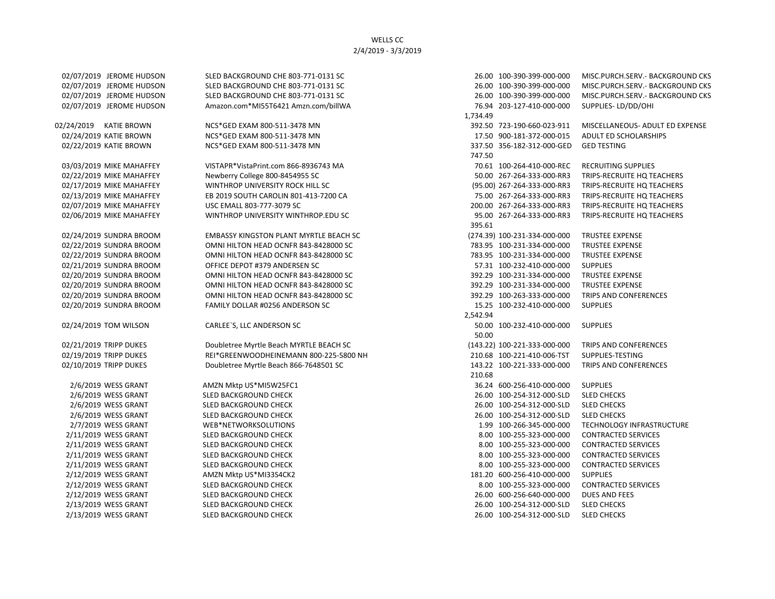02/07/2019 JEROME HUDSON SLED BACKGROUND CHE 803-771-0131 SC 26.00 100-390-399-000-000 MISC.PURCH.SERV.- BACKGROUND CKS 02/07/2019 JEROME HUDSON SLED BACKGROUND CHE 803-771-0131 SC 26.00 26.00 100-390-399-000-000 MISC.PURCH.SERV.- BACKGROUND CKS 02/07/2019 JEROME HUDSON SLED BACKGROUND CHE 803-771-0131 SC 26.00 26.00 100-390-399-000-000 MISC.PURCH.SERV.- BACKGROUND CKS 02/07/2019 JEROME HUDSON Amazon.com\*MI55T6421 Amzn.com/billWA 76.94 203-127-410-000-000 SUPPLIES- LD/DD/OHI 1,734.49 02/24/2019 KATIE BROWN NCS\*GED EXAM 800-511-3478 MN 392.50 723-190-660-023-911 MISCELLANEOUS- ADULT ED EXPENSE 02/24/2019 KATIE BROWN NCS\*GED EXAM 800-511-3478 MN 17.50 900-181-372-000-015 ADULT ED SCHOLARSHIPS 02/22/2019 KATIE BROWN NCS\*GED EXAM 800-511-3478 MN 3337.50 356-182-312-000-GED GED TESTING 747.50 03/03/2019 MIKE MAHAFFEY VISTAPR\*VistaPrint.com 866-8936743 MA 70.61 100-264-410-000-REC RECRUITING SUPPLIES 02/22/2019 MIKE MAHAFFEY Newberry College 800-8454955 SC 50.00 267-264-333-000-RR3 TRIPS-RECRUITE HQ TEACHERS 02/17/2019 MIKE MAHAFFEY WINTHROP UNIVERSITY ROCK HILL SC (95.00) 267-264-333-000-RR3 TRIPS-RECRUITE HQ TEACHERS 02/13/2019 MIKE MAHAFFEY **EB 2019 SOUTH CAROLIN 801-413-7200 CA** 75.00 267-264-333-000-RR3 TRIPS-RECRUITE HQ TEACHERS 02/07/2019 MIKE MAHAFFEY USC EMALL 803-777-3079 SC 200.00 267-264-333-000-RR3 TRIPS-RECRUITE HQ TEACHERS 02/06/2019 MIKE MAHAFFEY WINTHROP UNIVERSITY WINTHROP.EDU SC 95.00 267-264-333-000-RR3 TRIPS-RECRUITE HQ TEACHERS 395.61 02/24/2019 SUNDRA BROOM EMBASSY KINGSTON PLANT MYRTLE BEACH SC (274.39) 100-231-334-000-000 TRUSTEE EXPENSE 02/22/2019 SUNDRA BROOM **OMNI HILTON HEAD OCNFR 843-8428000 SC** 783.95 100-231-334-000-000 TRUSTEE EXPENSE 02/22/2019 SUNDRA BROOM COMNI HILTON HEAD OCNFR 843-8428000 SC 783.95 100-231-334-000-000 TRUSTEE EXPENSE 02/21/2019 SUNDRA BROOM **OFFICE DEPOT #379 ANDERSEN SC** 57.31 100-232-410-000-000 SUPPLIES 02/20/2019 SUNDRA BROOM OMNI HILTON HEAD OCNFR 843-8428000 SC 392.29 100-231-334-000-000 TRUSTEE EXPENSE 02/20/2019 SUNDRA BROOM OMNI HILTON HEAD OCNFR 843-8428000 SC 392.29 100-231-334-000-000 TRUSTEE EXPENSE 02/20/2019 SUNDRA BROOM OMNI HILTON HEAD OCNFR 843-8428000 SC 392.29 100-263-333-000-000 TRIPS AND CONFERENCES 02/20/2019 SUNDRA BROOM FAMILY DOLLAR #0256 ANDERSON SC 15.25 100-232-410-000-000 SUPPLIES 2,542.94 02/24/2019 TOM WILSON CARLEE`S, LLC ANDERSON SC 50.00 100-232-410-000-000 SUPPLIES 50.00 02/21/2019 TRIPP DUKES Doubletree Myrtle Beach MYRTLE BEACH SC (143.22) 100-221-333-000-000 TRIPS AND CONFERENCES 02/19/2019 TRIPP DUKES REI\*GREENWOODHEINEMANN 800-225-5800 NH 210.68 100-221-410-006-TST SUPPLIES-TESTING 02/10/2019 TRIPP DUKES Doubletree Myrtle Beach 866-7648501 SC 143.22 100-221-333-000-000 TRIPS AND CONFERENCES 210.68 2/6/2019 WESS GRANT AMZN Mktp US\*MI5W25FC1 36.24 600-256-410-000-000 SUPPLIES 2/6/2019 WESS GRANT SLED BACKGROUND CHECK 26.00 100-254-312-000-SLD SLED CHECKS 2/6/2019 WESS GRANT SLED BACKGROUND CHECK 26.00 100-254-312-000-SLD SLED CHECKS 2/6/2019 WESS GRANT SLED BACKGROUND CHECK 26.00 100-254-312-000-SLD SLED CHECKS 2/7/2019 WESS GRANT WEB\*NETWORKSOLUTIONS 1.99 100-266-345-000-000 TECHNOLOGY INFRASTRUCTURE 2/11/2019 WESS GRANT SLED BACKGROUND CHECK 8.00 100-255-323-000-000 CONTRACTED SERVICES 2/11/2019 WESS GRANT SLED BACKGROUND CHECK 8.00 100-255-323-000-000 CONTRACTED SERVICES 2/11/2019 WESS GRANT SLED BACKGROUND CHECK 8.00 100-255-323-000-000 CONTRACTED SERVICES 2/11/2019 WESS GRANT SLED BACKGROUND CHECK 8.00 100-255-323-000-000 CONTRACTED SERVICES 2/12/2019 WESS GRANT AMZN Mktp US\*MI33S4CK2 181.20 600-256-410-000-000 SUPPLIES 2/12/2019 WESS GRANT SLED BACKGROUND CHECK 8.00 100-255-323-000-000 CONTRACTED SERVICES 2/12/2019 WESS GRANT SLED BACKGROUND CHECK 26.00 600-256-640-000-000 DUES AND FEES 2/13/2019 WESS GRANT SLED BACKGROUND CHECK 26.00 100-254-312-000-SLD SLED CHECKS 2/13/2019 WESS GRANT SLED BACKGROUND CHECK 26.00 100-254-312-000-SLD SLED CHECKS